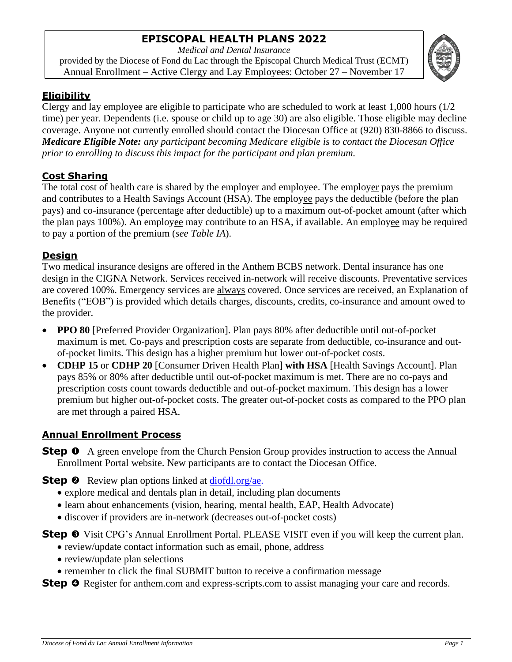# **EPISCOPAL HEALTH PLANS 2022**

*Medical and Dental Insurance*

provided by the Diocese of Fond du Lac through the Episcopal Church Medical Trust (ECMT) Annual Enrollment – Active Clergy and Lay Employees: October 27 – November 17



### **Eligibility**

Clergy and lay employee are eligible to participate who are scheduled to work at least 1,000 hours (1/2 time) per year. Dependents (i.e. spouse or child up to age 30) are also eligible. Those eligible may decline coverage. Anyone not currently enrolled should contact the Diocesan Office at (920) 830-8866 to discuss. *Medicare Eligible Note: any participant becoming Medicare eligible is to contact the Diocesan Office prior to enrolling to discuss this impact for the participant and plan premium.*

### **Cost Sharing**

The total cost of health care is shared by the employer and employee. The employer pays the premium and contributes to a Health Savings Account (HSA). The employee pays the deductible (before the plan pays) and co-insurance (percentage after deductible) up to a maximum out-of-pocket amount (after which the plan pays 100%). An employee may contribute to an HSA, if available. An employee may be required to pay a portion of the premium (*see Table IA*).

### **Design**

Two medical insurance designs are offered in the Anthem BCBS network. Dental insurance has one design in the CIGNA Network. Services received in-network will receive discounts. Preventative services are covered 100%. Emergency services are always covered. Once services are received, an Explanation of Benefits ("EOB") is provided which details charges, discounts, credits, co-insurance and amount owed to the provider.

- **PPO 80** [Preferred Provider Organization]. Plan pays 80% after deductible until out-of-pocket maximum is met. Co-pays and prescription costs are separate from deductible, co-insurance and outof-pocket limits. This design has a higher premium but lower out-of-pocket costs.
- **CDHP 15** or **CDHP 20** [Consumer Driven Health Plan] **with HSA** [Health Savings Account]. Plan pays 85% or 80% after deductible until out-of-pocket maximum is met. There are no co-pays and prescription costs count towards deductible and out-of-pocket maximum. This design has a lower premium but higher out-of-pocket costs. The greater out-of-pocket costs as compared to the PPO plan are met through a paired HSA.

## **Annual Enrollment Process**

**Step**  $\bullet$  A green envelope from the Church Pension Group provides instruction to access the Annual Enrollment Portal website. New participants are to contact the Diocesan Office.

**Step <sup>@</sup>** Review plan options linked at [diofdl.org/a](http://diofdl.org/oe)e.

- explore medical and dentals plan in detail, including plan documents
- learn about enhancements (vision, hearing, mental health, EAP, Health Advocate)
- discover if providers are in-network (decreases out-of-pocket costs)

**Step <sup>●</sup>** Visit CPG's Annual Enrollment Portal. PLEASE VISIT even if you will keep the current plan.

- review/update contact information such as email, phone, address
- review/update plan selections
- remember to click the final SUBMIT button to receive a confirmation message

**Step O** Register for <u>anthem.com</u> and express-scripts.com to assist managing your care and records.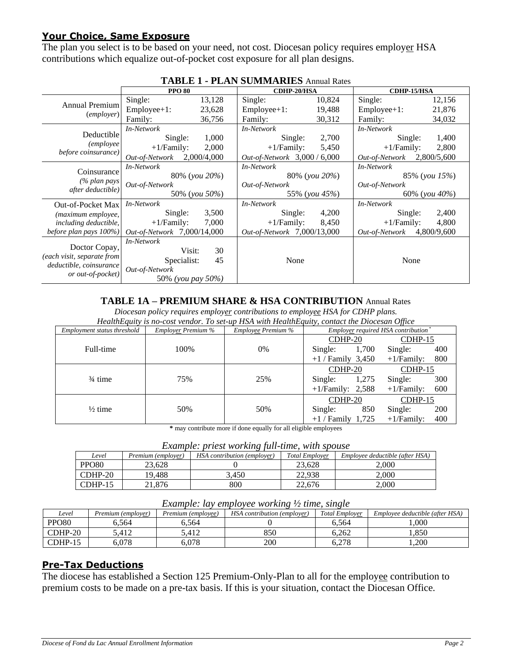### **Your Choice, Same Exposure**

The plan you select is to be based on your need, not cost. Diocesan policy requires employer HSA contributions which equalize out-of-pocket cost exposure for all plan designs.

|                                             | <b>PPO 80</b>               |             | <b>CDHP-20/HSA</b>           |        | <b>CDHP-15/HSA</b> |                    |  |
|---------------------------------------------|-----------------------------|-------------|------------------------------|--------|--------------------|--------------------|--|
|                                             | Single:                     | 13,128      | Single:                      | 10,824 | Single:            | 12,156             |  |
| Annual Premium<br><i>(employer)</i>         | $Employee+1$ :              | 23,628      | $Employee+1$ :               | 19,488 | $Employee+1$ :     | 21,876             |  |
|                                             | Family:                     | 36,756      | Family:                      | 30,312 | Family:            | 34,032             |  |
|                                             | In-Network                  |             | In-Network                   |        | In-Network         |                    |  |
| Deductible                                  | Single:                     | 1,000       | Single:                      | 2,700  | Single:            | 1,400              |  |
| (employee                                   | $+1/Family$ :               | 2,000       | $+1/Family$ :                | 5,450  | $+1/Family$ :      | 2,800              |  |
| before coinsurance)                         | Out-of-Network              | 2,000/4,000 | Out-of-Network 3,000 / 6,000 |        | Out-of-Network     | 2,800/5,600        |  |
|                                             | In-Network                  |             | In-Network                   |        | In-Network         |                    |  |
| Coinsurance                                 | 80% ( <i>you</i> 20%)       |             | 80% (you 20%)                |        | 85% (you 15%)      |                    |  |
| (% plan pays)<br>after deductible)          | Out-of-Network              |             | Out-of-Network               |        | Out-of-Network     |                    |  |
|                                             | 50% (you 50%)               |             | 55% (you 45%)                |        |                    | 60\% (you $40\%$ ) |  |
| <b>Out-of-Pocket Max</b>                    | In-Network                  |             | In-Network                   |        | In-Network         |                    |  |
| (maximum employee,                          | Single:                     | 3,500       | Single:                      | 4,200  | Single:            | 2,400              |  |
| including deductible,                       | $+1/Family$ :               | 7,000       | $+1/Family:$                 | 8,450  | $+1/Family:$       | 4,800              |  |
| before plan pays 100%)                      | Out-of-Network 7,000/14,000 |             | Out-of-Network 7,000/13,000  |        | Out-of-Network     | 4,800/9,600        |  |
|                                             | In-Network                  |             |                              |        |                    |                    |  |
| Doctor Copay,<br>(each visit, separate from | Visit:                      | 30          |                              |        |                    |                    |  |
|                                             | Specialist:                 | 45          | None                         |        | None               |                    |  |
| deductible, coinsurance                     | Out-of-Network              |             |                              |        |                    |                    |  |
| or out-of-pocket)                           | 50% (you pay 50%)           |             |                              |        |                    |                    |  |

### **TABLE 1 - PLAN SUMMARIES** Annual Rates

#### **TABLE 1A – PREMIUM SHARE & HSA CONTRIBUTION** Annual Rates

*Diocesan policy requires employer contributions to employee HSA for CDHP plans.*

*HealthEquity is no-cost vendor. To set-up HSA with HealthEquity, contact the Diocesan Office*

| Employment status threshold | <b>Employer Premium %</b> | Employee Premium % | Employer required HSA contribution <sup>*</sup> |                      |  |  |
|-----------------------------|---------------------------|--------------------|-------------------------------------------------|----------------------|--|--|
|                             |                           |                    | $CDHP-20$                                       | $CDHP-15$            |  |  |
| Full-time                   | 100\%                     | $0\%$              | 1,700<br>Single:                                | 400<br>Single:       |  |  |
|                             |                           |                    | $+1$ / Family 3,450                             | 800<br>$+1/Family:$  |  |  |
|                             |                           |                    | $CDHP-20$                                       | $CDHP-15$            |  |  |
| $\frac{3}{4}$ time          | 75%                       | 25%                | 1,275<br>Single:                                | 300<br>Single:       |  |  |
|                             |                           |                    | $+1$ /Family: 2,588                             | 600<br>$+1/Family$ : |  |  |
|                             |                           |                    | $CDHP-20$                                       | $CDHP-15$            |  |  |
| $\frac{1}{2}$ time          | 50%                       | 50%                | 850<br>Single:                                  | 200<br>Single:       |  |  |
|                             |                           |                    | $+1$ / Family 1,725                             | 400<br>$+1/Family$ : |  |  |

**\*** may contribute more if done equally for all eligible employees

|  |  | Example: priest working full-time, with spouse |
|--|--|------------------------------------------------|
|  |  |                                                |

| Level             | Premium (employer) | .<br>HSA contribution (employer) | <b>Total Employer</b> | Employee deductible (after HSA) |
|-------------------|--------------------|----------------------------------|-----------------------|---------------------------------|
| PPO <sub>80</sub> | 23.628             |                                  | 23.628                | 2.000                           |
| $CDHP-20$         | 19.488             | 3.450                            | 22.938                | 2,000                           |
| CDHP-15           | 21.876             | 800                              | 22,676                | 2.000                           |

#### *Example: lay employee working ½ time, single*

| Level             | Premium (emplover) | Premium (employee) | HSA contribution (employer) | <b>Total Employer</b> | Employee deductible (after HSA) |  |  |
|-------------------|--------------------|--------------------|-----------------------------|-----------------------|---------------------------------|--|--|
| PPO <sub>80</sub> | 5.564              | 5.564              |                             | 6.564                 | .000                            |  |  |
| $CDHP-20$         | 5.412              | 5.412              | 850                         | 6.262                 | .850                            |  |  |
| $CDHP-15$         | 5.078              | 5.078              | 200                         | 6.278                 | .200                            |  |  |

#### **Pre-Tax Deductions**

The diocese has established a Section 125 Premium-Only-Plan to all for the employee contribution to premium costs to be made on a pre-tax basis. If this is your situation, contact the Diocesan Office.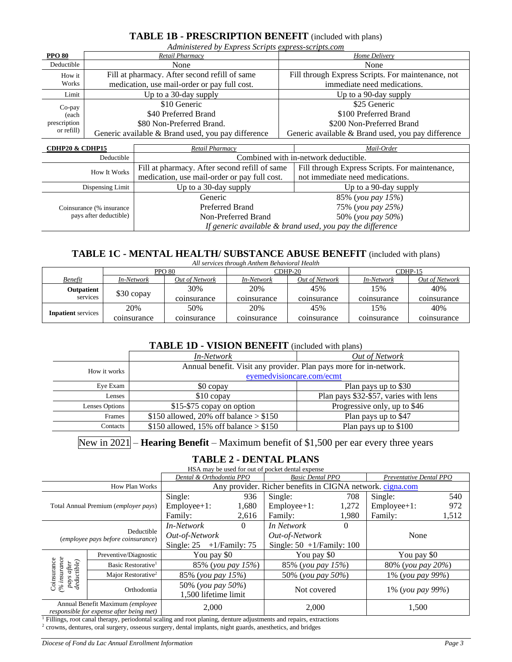#### **TABLE 1B - PRESCRIPTION BENEFIT** (included with plans)

*Administered by Express Scripts express-scripts.com*

| <b>PPO 80</b> | Retail Pharmacy                                    | Home Delivery                                      |
|---------------|----------------------------------------------------|----------------------------------------------------|
| Deductible    | None                                               | None                                               |
| How it        | Fill at pharmacy. After second refill of same      | Fill through Express Scripts. For maintenance, not |
| Works         | medication, use mail-order or pay full cost.       | immediate need medications.                        |
| Limit         | Up to a 30-day supply                              | Up to a 90-day supply                              |
| $Co$ -pay     | \$10 Generic                                       | \$25 Generic                                       |
| (each         | \$40 Preferred Brand                               | \$100 Preferred Brand                              |
| prescription  | \$80 Non-Preferred Brand.                          | \$200 Non-Preferred Brand                          |
| or refill)    | Generic available & Brand used, you pay difference | Generic available & Brand used, you pay difference |

| <b>CDHP20 &amp; CDHP15</b>                          | Retail Pharmacy                               | Mail-Order                                                |  |
|-----------------------------------------------------|-----------------------------------------------|-----------------------------------------------------------|--|
| Deductible                                          | Combined with in-network deductible.          |                                                           |  |
| <b>How It Works</b>                                 | Fill at pharmacy. After second refill of same | Fill through Express Scripts. For maintenance,            |  |
|                                                     | medication, use mail-order or pay full cost.  | not immediate need medications.                           |  |
| Dispensing Limit                                    | Up to a 30-day supply                         | Up to a 90-day supply                                     |  |
|                                                     | Generic                                       | 85% (you pay 15%)                                         |  |
| Coinsurance (% insurance)<br>pays after deductible) | Preferred Brand                               | 75% (you pay 25%)                                         |  |
|                                                     | Non-Preferred Brand                           | 50% (you pay 50%)                                         |  |
|                                                     |                                               | If generic available & brand used, you pay the difference |  |

### **TABLE 1C - MENTAL HEALTH/ SUBSTANCE ABUSE BENEFIT** (included with plans)

| All services through Anthem Behavioral Health |             |                |                   |                |                   |                |  |  |
|-----------------------------------------------|-------------|----------------|-------------------|----------------|-------------------|----------------|--|--|
|                                               |             | <b>PPO 80</b>  | $CDHP-20$         |                | $CDHP-15$         |                |  |  |
| <b>Benefit</b>                                | In-Network  | Out of Network | <i>In-Network</i> | Out of Network | <i>In-Network</i> | Out of Network |  |  |
| Outpatient<br>services                        | \$30 copay  | 30%            | 20%               | 45%            | 15%               | 40%            |  |  |
|                                               |             | coinsurance    | coinsurance       | coinsurance    | coinsurance       | coinsurance    |  |  |
|                                               | 20%         | 50%            | 20%               | 45%            | 15%               | 40%            |  |  |
| <b>Inpatient</b> services                     | coinsurance | coinsurance    | coinsurance       | coinsurance    | coinsurance       | coinsurance    |  |  |

#### **TABLE 1D - VISION BENEFIT** (included with plans)

|                | <i>In-Network</i>                                                  | Out of Network                        |
|----------------|--------------------------------------------------------------------|---------------------------------------|
| How it works   | Annual benefit. Visit any provider. Plan pays more for in-network. |                                       |
|                | eyemedvisioncare.com/ecmt                                          |                                       |
| Eye Exam       | \$0 copay                                                          | Plan pays up to \$30                  |
| Lenses         | \$10 copay                                                         | Plan pays \$32-\$57, varies with lens |
| Lenses Options | \$15-\$75 copay on option                                          | Progressive only, up to \$46          |
| Frames         | \$150 allowed, 20% off balance $>$ \$150                           | Plan pays up to \$47                  |
| Contacts       | \$150 allowed, 15% off balance $>$ \$150                           | Plan pays up to \$100                 |
|                |                                                                    |                                       |

New in 2021 – **Hearing Benefit** – Maximum benefit of \$1,500 per ear every three years

#### **TABLE 2 - DENTAL PLANS**

HSA may be used for out of pocket dental expense

|                                                                                                                                                    |                                                  | Dental & Orthodontia PPO                  |          | <b>Basic Dental PPO</b>                                   |          | Preventative Dental PPO |       |
|----------------------------------------------------------------------------------------------------------------------------------------------------|--------------------------------------------------|-------------------------------------------|----------|-----------------------------------------------------------|----------|-------------------------|-------|
|                                                                                                                                                    | <b>How Plan Works</b>                            |                                           |          | Any provider. Richer benefits in CIGNA network. cigna.com |          |                         |       |
|                                                                                                                                                    |                                                  | Single:                                   | 936      | Single:                                                   | 708      | Single:                 | 540   |
|                                                                                                                                                    | Total Annual Premium (employer pays)             | $Employee+1$ :                            | 1,680    | $Employee+1$ :                                            | 1,272    | $Employee+1$ :          | 972   |
|                                                                                                                                                    |                                                  | Family:                                   | 2,616    | Family:                                                   | 1.980    | Family:                 | 1,512 |
|                                                                                                                                                    |                                                  | In-Network                                | $\Omega$ | In Network                                                | $\theta$ |                         |       |
|                                                                                                                                                    | Deductible<br>(employee pays before coinsurance) | Out-of-Network                            |          | Out-of-Network                                            |          | None                    |       |
|                                                                                                                                                    |                                                  | Single: $25 + 1$ /Family: 75              |          | Single: $50 + 1$ /Family: 100                             |          |                         |       |
|                                                                                                                                                    | Preventive/Diagnostic                            | You pay \$0                               |          | You pay \$0                                               |          | You pay \$0             |       |
|                                                                                                                                                    | Basic Restorative <sup>1</sup>                   | 85% (you pay 15%)                         |          | 85% (you pay 15%)                                         |          | 80% (you pay 20%)       |       |
|                                                                                                                                                    | Major Restorative <sup>2</sup>                   | 85% (you pay 15%)                         |          | 50% (you pay 50%)                                         |          | 1% (you pay 99%)        |       |
| $\begin{array}{c} \text{C} \text{on} \text{sum} \text{ce} \\ (\% \text{ in} \text{surface} \\ \text{pays after} \\ \text{deductible}) \end{array}$ | Orthodontia                                      | 50% (you pay 50%)<br>1,500 lifetime limit |          | Not covered                                               |          | 1% (you pay 99%)        |       |
| Annual Benefit Maximum (employee<br>responsible for expense after being met)                                                                       |                                                  | 2,000                                     |          | 2,000                                                     |          | 1,500                   |       |

<sup>1</sup> Fillings, root canal therapy, periodontal scaling and root planing, denture adjustments and repairs, extractions

<sup>2</sup> crowns, dentures, oral surgery, osseous surgery, dental implants, night guards, anesthetics, and bridges